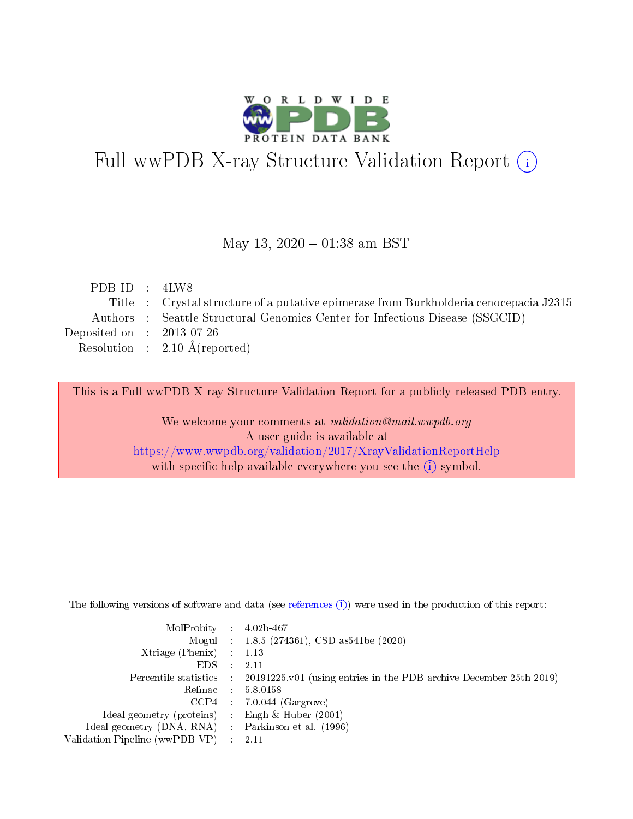

# Full wwPDB X-ray Structure Validation Report (i)

#### May 13,  $2020 - 01:38$  am BST

| PDB ID : 4LW8               |                                                                                       |
|-----------------------------|---------------------------------------------------------------------------------------|
|                             | Title : Crystal structure of a putative epimerase from Burkholderia cenocepacia J2315 |
|                             | Authors : Seattle Structural Genomics Center for Infectious Disease (SSGCID)          |
| Deposited on : $2013-07-26$ |                                                                                       |
|                             | Resolution : $2.10 \text{ Å}$ (reported)                                              |
|                             |                                                                                       |

This is a Full wwPDB X-ray Structure Validation Report for a publicly released PDB entry.

We welcome your comments at validation@mail.wwpdb.org A user guide is available at <https://www.wwpdb.org/validation/2017/XrayValidationReportHelp> with specific help available everywhere you see the  $(i)$  symbol.

The following versions of software and data (see [references](https://www.wwpdb.org/validation/2017/XrayValidationReportHelp#references)  $(1)$ ) were used in the production of this report:

| $MolProbability$ : 4.02b-467                        |                                                                                              |
|-----------------------------------------------------|----------------------------------------------------------------------------------------------|
|                                                     | Mogul : 1.8.5 (274361), CSD as 541 be (2020)                                                 |
| Xtriage (Phenix) $: 1.13$                           |                                                                                              |
| $EDS$ :                                             | -2.11                                                                                        |
|                                                     | Percentile statistics : $20191225.v01$ (using entries in the PDB archive December 25th 2019) |
| Refmac : 5.8.0158                                   |                                                                                              |
|                                                     | $CCP4$ : 7.0.044 (Gargrove)                                                                  |
| Ideal geometry (proteins) :                         | Engh $\&$ Huber (2001)                                                                       |
| Ideal geometry (DNA, RNA) : Parkinson et al. (1996) |                                                                                              |
| Validation Pipeline (wwPDB-VP) : 2.11               |                                                                                              |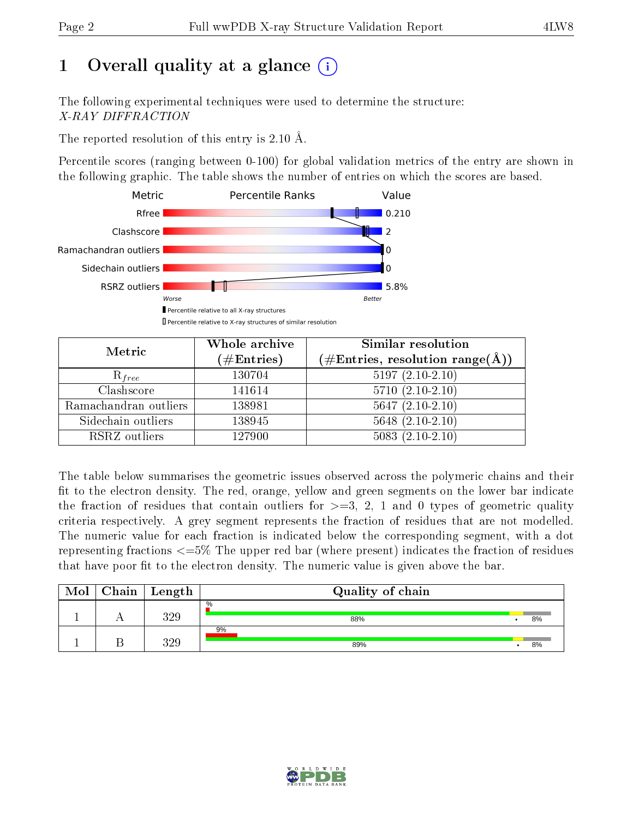# 1 [O](https://www.wwpdb.org/validation/2017/XrayValidationReportHelp#overall_quality)verall quality at a glance  $(i)$

The following experimental techniques were used to determine the structure: X-RAY DIFFRACTION

The reported resolution of this entry is 2.10 Å.

Percentile scores (ranging between 0-100) for global validation metrics of the entry are shown in the following graphic. The table shows the number of entries on which the scores are based.



| Metric                | Whole archive<br>$(\#\text{Entries})$ | <b>Similar resolution</b><br>$(\#\text{Entries}, \text{resolution range}(\text{\AA}))$ |  |  |
|-----------------------|---------------------------------------|----------------------------------------------------------------------------------------|--|--|
| $R_{free}$            | 130704                                | $5197(2.10-2.10)$                                                                      |  |  |
| Clashscore            | 141614                                | $5710(2.10-2.10)$                                                                      |  |  |
| Ramachandran outliers | 138981                                | $5647(2.10-2.10)$                                                                      |  |  |
| Sidechain outliers    | 138945                                | $5648$ $(2.10-2.10)$                                                                   |  |  |
| RSRZ outliers         | 127900                                | $5083(2.10-2.10)$                                                                      |  |  |

The table below summarises the geometric issues observed across the polymeric chains and their fit to the electron density. The red, orange, yellow and green segments on the lower bar indicate the fraction of residues that contain outliers for  $>=3, 2, 1$  and 0 types of geometric quality criteria respectively. A grey segment represents the fraction of residues that are not modelled. The numeric value for each fraction is indicated below the corresponding segment, with a dot representing fractions  $\epsilon=5\%$  The upper red bar (where present) indicates the fraction of residues that have poor fit to the electron density. The numeric value is given above the bar.

| Mol | $Chain \  Length$ | Quality of chain |    |
|-----|-------------------|------------------|----|
|     | 390               | $\%$<br>88%      | 8% |
|     | 390               | 9%<br>89%        | 8% |

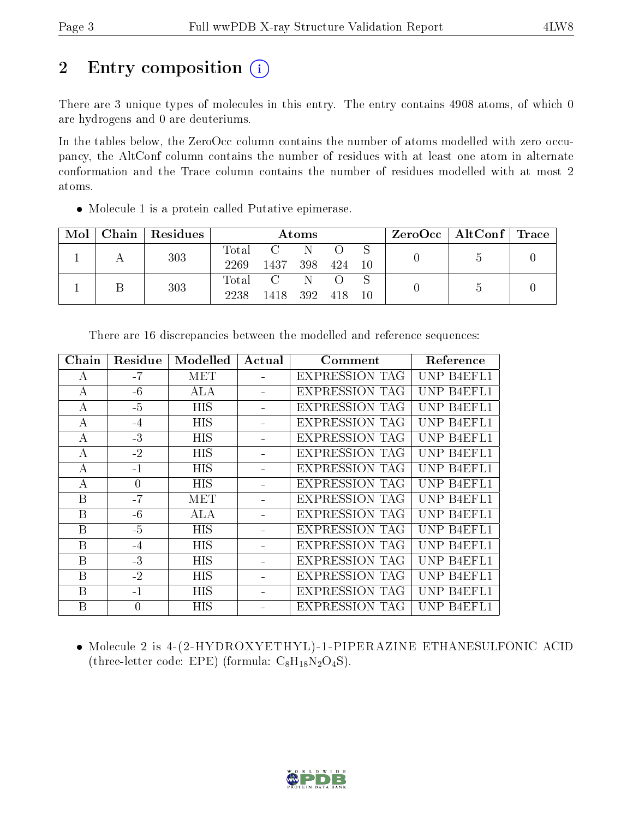## 2 Entry composition (i)

There are 3 unique types of molecules in this entry. The entry contains 4908 atoms, of which 0 are hydrogens and 0 are deuteriums.

In the tables below, the ZeroOcc column contains the number of atoms modelled with zero occupancy, the AltConf column contains the number of residues with at least one atom in alternate conformation and the Trace column contains the number of residues modelled with at most 2 atoms.

Molecule 1 is a protein called Putative epimerase.

| Mol | Chain   Residues | Atoms               |                        |            |     |     | $ZeroOcc \mid AltConf \mid Trace$ |  |
|-----|------------------|---------------------|------------------------|------------|-----|-----|-----------------------------------|--|
|     | 303              | $\rm Total$<br>2269 | 1437                   | -N-<br>398 | 424 | -10 |                                   |  |
|     | 303              | $\rm Total$<br>2238 | $\overline{C}$<br>1418 | 392        | 418 | 10  |                                   |  |

| Chain        | Residue        | Modelled   | Actual | Comment               | Reference  |
|--------------|----------------|------------|--------|-----------------------|------------|
| A            | $-7$           | MET        |        | <b>EXPRESSION TAG</b> | UNP B4EFL1 |
| A            | $-6$           | <b>ALA</b> |        | <b>EXPRESSION TAG</b> | UNP B4EFL1 |
| А            | $-5$           | HIS        |        | <b>EXPRESSION TAG</b> | UNP B4EFL1 |
| А            | $-4$           | <b>HIS</b> |        | <b>EXPRESSION TAG</b> | UNP B4EFL1 |
| $\bf{A}$     | $-3$           | <b>HIS</b> |        | <b>EXPRESSION TAG</b> | UNP B4EFL1 |
| $\bf{A}$     | $-2$           | <b>HIS</b> |        | <b>EXPRESSION TAG</b> | UNP B4EFL1 |
| A            | $-1$           | <b>HIS</b> |        | <b>EXPRESSION TAG</b> | UNP B4EFL1 |
| А            | $\overline{0}$ | <b>HIS</b> |        | <b>EXPRESSION TAG</b> | UNP B4EFL1 |
| $\mathbf{B}$ | $-7$           | MET        |        | <b>EXPRESSION TAG</b> | UNP B4EFL1 |
| B            | $-6$           | <b>ALA</b> |        | <b>EXPRESSION TAG</b> | UNP B4EFL1 |
| B            | $-5$           | <b>HIS</b> |        | <b>EXPRESSION TAG</b> | UNP B4EFL1 |
| B            | $-4$           | <b>HIS</b> |        | <b>EXPRESSION TAG</b> | UNP B4EFL1 |
| B            | $-3$           | <b>HIS</b> |        | <b>EXPRESSION TAG</b> | UNP B4EFL1 |
| B            | $-2$           | <b>HIS</b> |        | <b>EXPRESSION TAG</b> | UNP B4EFL1 |
| B            | $-1$           | <b>HIS</b> |        | <b>EXPRESSION TAG</b> | UNP B4EFL1 |
| B            | $\overline{0}$ | <b>HIS</b> |        | <b>EXPRESSION TAG</b> | UNP B4EFL1 |

There are 16 discrepancies between the modelled and reference sequences:

 Molecule 2 is 4-(2-HYDROXYETHYL)-1-PIPERAZINE ETHANESULFONIC ACID (three-letter code: EPE) (formula:  $C_8H_{18}N_2O_4S$ ).

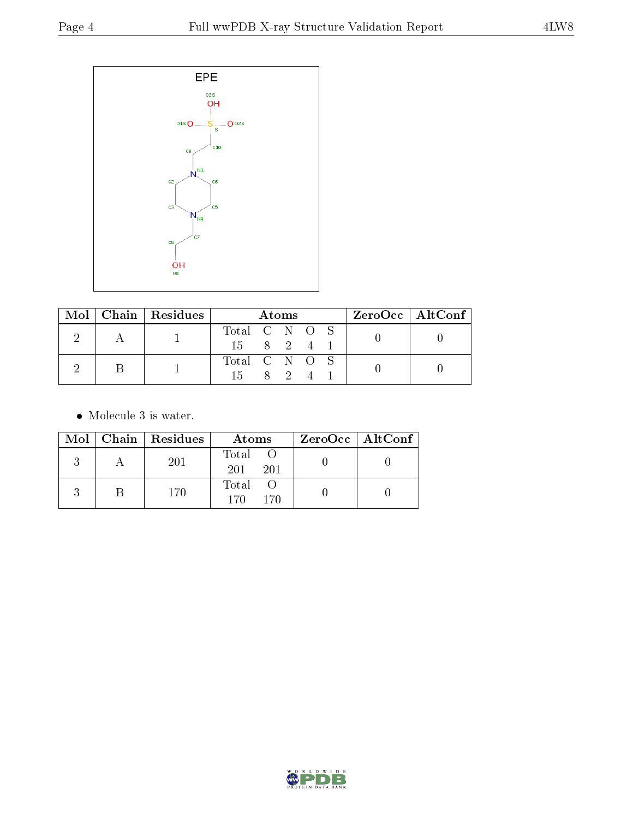

|  | $Mol$   Chain   Residues | Atoms         |  |  | $ZeroOcc \   \ AltConf \  $ |  |
|--|--------------------------|---------------|--|--|-----------------------------|--|
|  |                          | Total C N O S |  |  |                             |  |
|  |                          | 15 8 2 4      |  |  |                             |  |
|  |                          | Total C N O S |  |  |                             |  |
|  |                          | 15 8 2        |  |  |                             |  |

• Molecule 3 is water.

|  | Mol   Chain   Residues | Atoms               | $ZeroOcc \   \ AltConf \  $ |
|--|------------------------|---------------------|-----------------------------|
|  | 201                    | Total<br>201<br>201 |                             |
|  | 170                    | Total<br>17N<br>170 |                             |

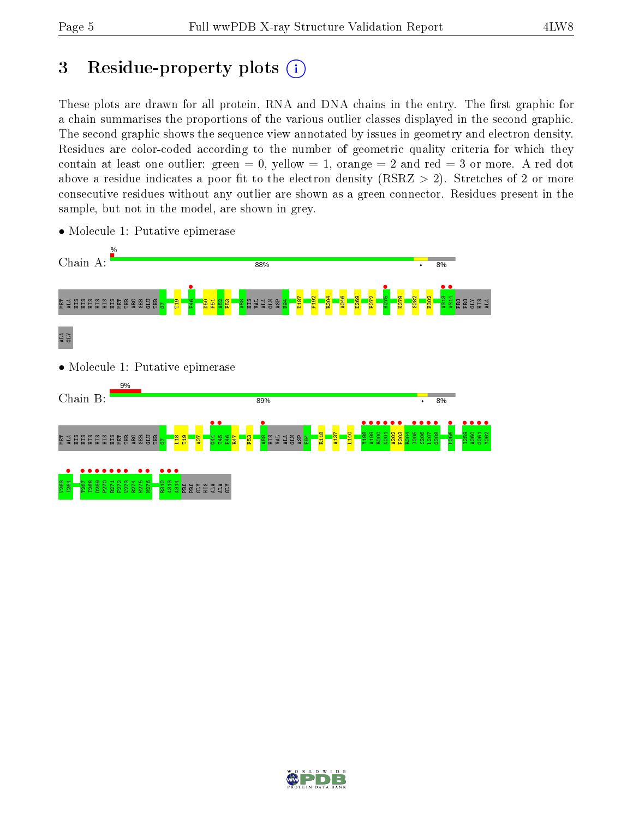# 3 Residue-property plots  $(i)$

These plots are drawn for all protein, RNA and DNA chains in the entry. The first graphic for a chain summarises the proportions of the various outlier classes displayed in the second graphic. The second graphic shows the sequence view annotated by issues in geometry and electron density. Residues are color-coded according to the number of geometric quality criteria for which they contain at least one outlier: green  $= 0$ , yellow  $= 1$ , orange  $= 2$  and red  $= 3$  or more. A red dot above a residue indicates a poor fit to the electron density (RSRZ  $> 2$ ). Stretches of 2 or more consecutive residues without any outlier are shown as a green connector. Residues present in the sample, but not in the model, are shown in grey.



• Molecule 1: Putative epimerase

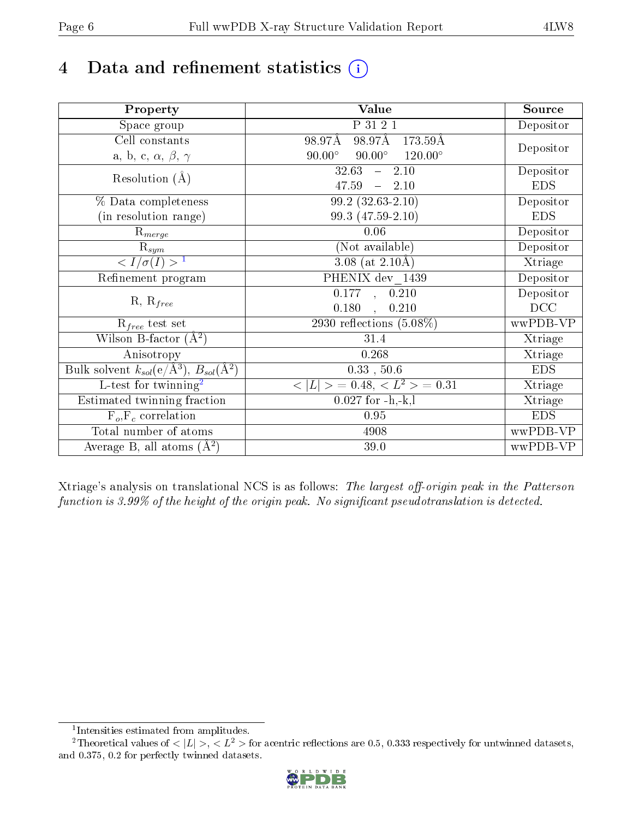# 4 Data and refinement statistics  $(i)$

| Property                                                   | <b>Value</b>                                     | Source     |
|------------------------------------------------------------|--------------------------------------------------|------------|
| Space group                                                | P 31 2 1                                         | Depositor  |
| Cell constants                                             | 98.97Å 173.59Å<br>98.97Å                         |            |
| a, b, c, $\alpha$ , $\beta$ , $\gamma$                     | $90.00^\circ$<br>$90.00^\circ$<br>$120.00^\circ$ | Depositor  |
| Resolution $(A)$                                           | 32.63<br>2.10<br>$\frac{1}{2}$                   | Depositor  |
|                                                            | 47.59<br>$-2.10$                                 | <b>EDS</b> |
| % Data completeness                                        | $99.2(32.63-2.10)$                               | Depositor  |
| (in resolution range)                                      | 99.3 (47.59-2.10)                                | <b>EDS</b> |
| $R_{merge}$                                                | 0.06                                             | Depositor  |
| $\mathrm{R}_{sym}$                                         | (Not available)                                  | Depositor  |
| $\langle I/\sigma(I) \rangle^{-1}$                         | $\overline{3.08}$ (at 2.10Å)                     | Xtriage    |
| Refinement program                                         | PHENIX dev 1439                                  | Depositor  |
|                                                            | $\overline{0.177}$ ,<br>0.210                    | Depositor  |
| $R, R_{free}$                                              | 0.180<br>0.210<br>$\mathbf{A}$                   | DCC        |
| $R_{free}$ test set                                        | 2930 reflections $(5.08\%)$                      | wwPDB-VP   |
| Wilson B-factor $(A^2)$                                    | 31.4                                             | Xtriage    |
| Anisotropy                                                 | 0.268                                            | Xtriage    |
| Bulk solvent $k_{sol}$ (e/Å <sup>3</sup> ), $B_{sol}(A^2)$ | $0.33$ , $50.6$                                  | <b>EDS</b> |
| $\overline{L}$ -test for twinning <sup>2</sup>             | $< L >$ = 0.48, $< L2$ = 0.31                    | Xtriage    |
| Estimated twinning fraction                                | $0.027$ for $-h,-k,l$                            | Xtriage    |
| $F_o, F_c$ correlation                                     | 0.95                                             | <b>EDS</b> |
| Total number of atoms                                      | 4908                                             | wwPDB-VP   |
| Average B, all atoms $(A^2)$                               | 39.0                                             | wwPDB-VP   |

Xtriage's analysis on translational NCS is as follows: The largest off-origin peak in the Patterson function is  $3.99\%$  of the height of the origin peak. No significant pseudotranslation is detected.

<sup>&</sup>lt;sup>2</sup>Theoretical values of  $\langle |L| \rangle$ ,  $\langle L^2 \rangle$  for acentric reflections are 0.5, 0.333 respectively for untwinned datasets, and 0.375, 0.2 for perfectly twinned datasets.



<span id="page-5-1"></span><span id="page-5-0"></span><sup>1</sup> Intensities estimated from amplitudes.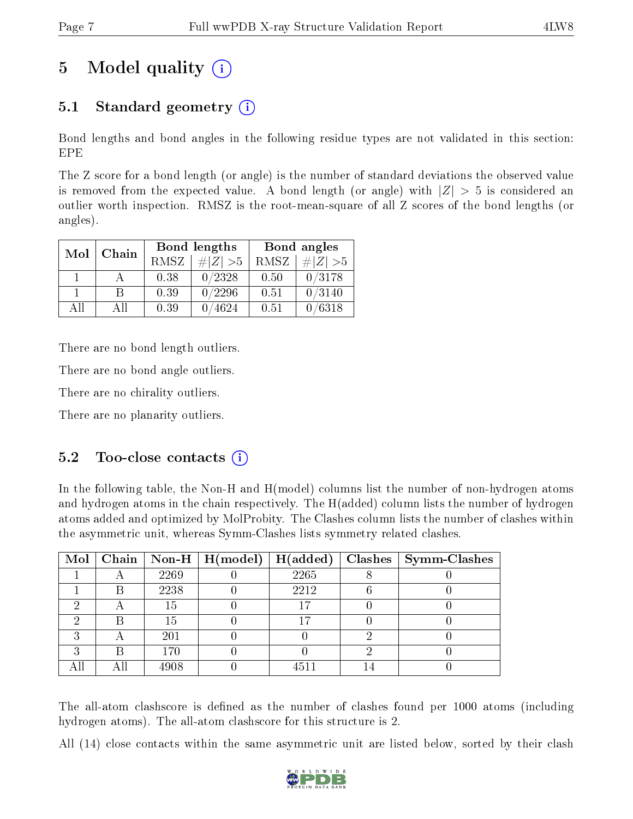# 5 Model quality  $(i)$

## 5.1 Standard geometry (i)

Bond lengths and bond angles in the following residue types are not validated in this section: EPE

The Z score for a bond length (or angle) is the number of standard deviations the observed value is removed from the expected value. A bond length (or angle) with  $|Z| > 5$  is considered an outlier worth inspection. RMSZ is the root-mean-square of all Z scores of the bond lengths (or angles).

| Mol | Chain |      | <b>Bond lengths</b> | Bond angles |             |  |
|-----|-------|------|---------------------|-------------|-------------|--|
|     |       | RMSZ | $\# Z  > 5$         | RMSZ        | $\ Z\  > 5$ |  |
|     |       | 0.38 | 0/2328              | 0.50        | 0/3178      |  |
|     | R     | 0.39 | 0/2296              | 0.51        | 0/3140      |  |
| AΠ  | A 11  | 0.39 | 4624                | 0.51        | /6318       |  |

There are no bond length outliers.

There are no bond angle outliers.

There are no chirality outliers.

There are no planarity outliers.

#### $5.2$  Too-close contacts  $(i)$

In the following table, the Non-H and H(model) columns list the number of non-hydrogen atoms and hydrogen atoms in the chain respectively. The H(added) column lists the number of hydrogen atoms added and optimized by MolProbity. The Clashes column lists the number of clashes within the asymmetric unit, whereas Symm-Clashes lists symmetry related clashes.

|   |   |      | Mol   Chain   Non-H   H(model)   H(added) |      | $\mid$ Clashes $\mid$ Symm-Clashes |
|---|---|------|-------------------------------------------|------|------------------------------------|
|   |   | 2269 |                                           | 2265 |                                    |
|   | В | 2238 |                                           | 2212 |                                    |
| ച |   | 15   |                                           | 17   |                                    |
|   |   | 15   |                                           | 17   |                                    |
| ົ |   | 201  |                                           |      |                                    |
| ച | R | 170  |                                           |      |                                    |
|   |   | 4908 |                                           | 4511 |                                    |

The all-atom clashscore is defined as the number of clashes found per 1000 atoms (including hydrogen atoms). The all-atom clashscore for this structure is 2.

All (14) close contacts within the same asymmetric unit are listed below, sorted by their clash

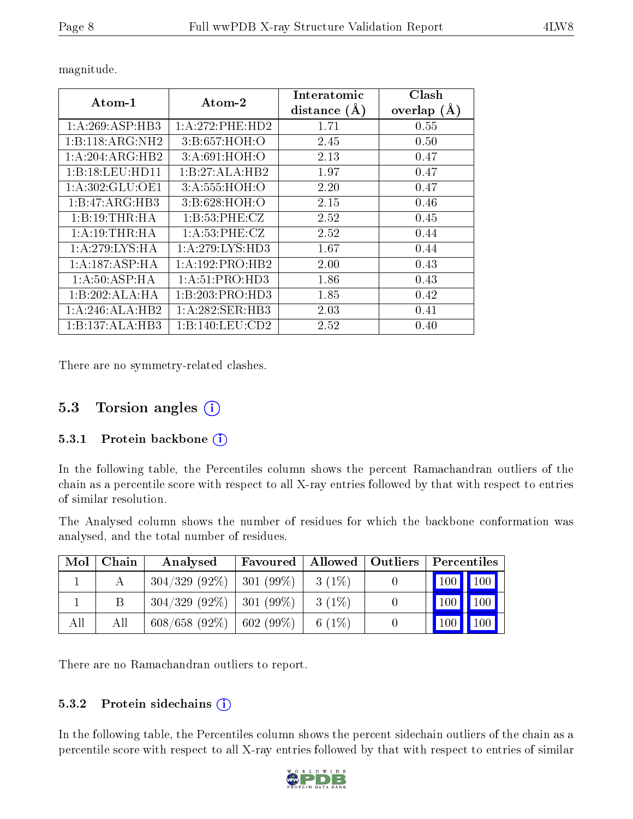| Atom-1                       | $\boldsymbol{\mathrm{Atom}\text{-}2}$ | Interatomic<br>distance $(A)$ | Clash<br>overlap $(A)$ |
|------------------------------|---------------------------------------|-------------------------------|------------------------|
| 1:A:269:ASP:HB3              | 1:A:272:PHE:HD2                       | 1.71                          | 0.55                   |
| 1:B:118:ARG:NH2              | 3:B:657:HOH:O                         | 2.45                          | 0.50                   |
| $1:A:204:ARG:H\overline{B2}$ | 3: A:691:HOH:O                        | 2.13                          | 0.47                   |
| 1:B:18:LEU:HD11              | 1:B:27:ALA:HB2                        | 1.97                          | 0.47                   |
| 1: A:302: GLU:OE1            | 3:A:555:HOH:O                         | 2.20                          | 0.47                   |
| 1:B:47:ARG:HB3               | 3: B:628: HOH:O                       | 2.15                          | 0.46                   |
| 1:B:19:THR:HA                | 1:B:53:PHE:CZ                         | 2.52                          | 0.45                   |
| 1: A: 19: THR: HA            | 1: A:53: PHE: CZ                      | 2.52                          | 0.44                   |
| 1: A:279: LYS: HA            | 1:A:279:LYS:HD3                       | 1.67                          | 0.44                   |
| 1:A:187:ASP:HA               | 1:A:192:PRO:HB2                       | 2.00                          | 0.43                   |
| 1:A:50:ASP:HA                | 1: A:51: PRO:HD3                      | 1.86                          | 0.43                   |
| 1:B:202:ALA:HA               | 1:B:203:PRO:HD3                       | 1.85                          | 0.42                   |
| $1:A:246:ALA:H\overline{B2}$ | 1:A:282:SER:HB3                       | 2.03                          | 0.41                   |
| 1:B:137:ALA:HB3              | 1:B:140:LEU:CD2                       | 2.52                          | 0.40                   |

magnitude.

There are no symmetry-related clashes.

#### 5.3 Torsion angles (i)

#### 5.3.1 Protein backbone  $(i)$

In the following table, the Percentiles column shows the percent Ramachandran outliers of the chain as a percentile score with respect to all X-ray entries followed by that with respect to entries of similar resolution.

The Analysed column shows the number of residues for which the backbone conformation was analysed, and the total number of residues.

| Mol | Chain | Analysed                      | Favoured          |          | Allowed   Outliers | Percentiles                  |
|-----|-------|-------------------------------|-------------------|----------|--------------------|------------------------------|
|     |       | $304/329$ (92\%)   301 (99\%) |                   | $3(1\%)$ |                    | $\mid$ 100 $\mid$ 100 $\mid$ |
|     |       | $304/329$ (92\%)   301 (99\%) |                   | $3(1\%)$ |                    | $100$   100                  |
| All | All   | $608/658(92\%)$               | $\vert 602(99\%)$ | 6 $(1%)$ |                    | 100<br>  100                 |

There are no Ramachandran outliers to report.

#### 5.3.2 Protein sidechains (i)

In the following table, the Percentiles column shows the percent sidechain outliers of the chain as a percentile score with respect to all X-ray entries followed by that with respect to entries of similar

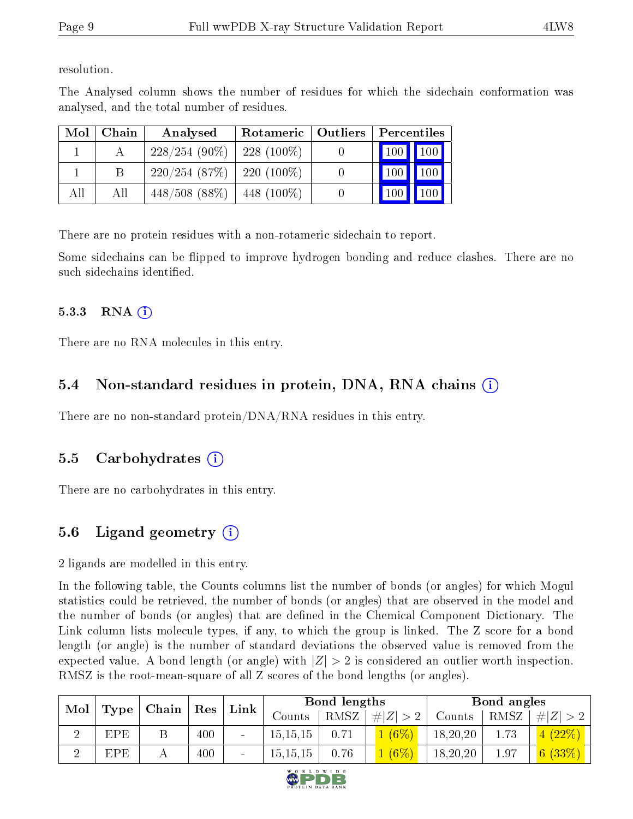resolution.

The Analysed column shows the number of residues for which the sidechain conformation was analysed, and the total number of residues.

| Mol | Chain | Analysed                       | Rotameric   Outliers | Percentiles                       |  |  |
|-----|-------|--------------------------------|----------------------|-----------------------------------|--|--|
|     |       | $228/254(90\%)$                | $-228(100\%)$        | 100 100                           |  |  |
|     |       | $220/254$ (87\%)   220 (100\%) |                      | <b>100</b><br>$\vert$ 100 $\vert$ |  |  |
| All | All   | $448/508(88\%)$                | $-448(100\%)$        | 100 <sub>h</sub><br>100           |  |  |

There are no protein residues with a non-rotameric sidechain to report.

Some sidechains can be flipped to improve hydrogen bonding and reduce clashes. There are no such sidechains identified.

#### $5.3.3$  RNA  $(i)$

There are no RNA molecules in this entry.

### 5.4 Non-standard residues in protein, DNA, RNA chains  $(i)$

There are no non-standard protein/DNA/RNA residues in this entry.

#### 5.5 Carbohydrates  $(i)$

There are no carbohydrates in this entry.

## 5.6 Ligand geometry  $(i)$

2 ligands are modelled in this entry.

In the following table, the Counts columns list the number of bonds (or angles) for which Mogul statistics could be retrieved, the number of bonds (or angles) that are observed in the model and the number of bonds (or angles) that are defined in the Chemical Component Dictionary. The Link column lists molecule types, if any, to which the group is linked. The Z score for a bond length (or angle) is the number of standard deviations the observed value is removed from the expected value. A bond length (or angle) with  $|Z| > 2$  is considered an outlier worth inspection. RMSZ is the root-mean-square of all Z scores of the bond lengths (or angles).

| Mol |                    | Chain |            |  |            |      |               |          |      |                |  |  | Link |  | Bond lengths |  |  | Bond angles |  |
|-----|--------------------|-------|------------|--|------------|------|---------------|----------|------|----------------|--|--|------|--|--------------|--|--|-------------|--|
|     | $\top$ Type $\top$ |       | $\mid$ Res |  | Counts     | RMSZ | . $\# Z  > 2$ | Counts   | RMSZ | # $ Z  > 2$    |  |  |      |  |              |  |  |             |  |
| ച   | <b>EPE</b>         |       | 400        |  | 15, 15, 15 | 0.71 | $(6\%)$       | 18,20,20 | 1.73 | $(22\%)$<br>4. |  |  |      |  |              |  |  |             |  |
| ച   | EPE                |       | 400        |  | 15.15.15   | 0.76 | $(6\%)$       | 18,20,20 | 1.97 | 6(33%)         |  |  |      |  |              |  |  |             |  |

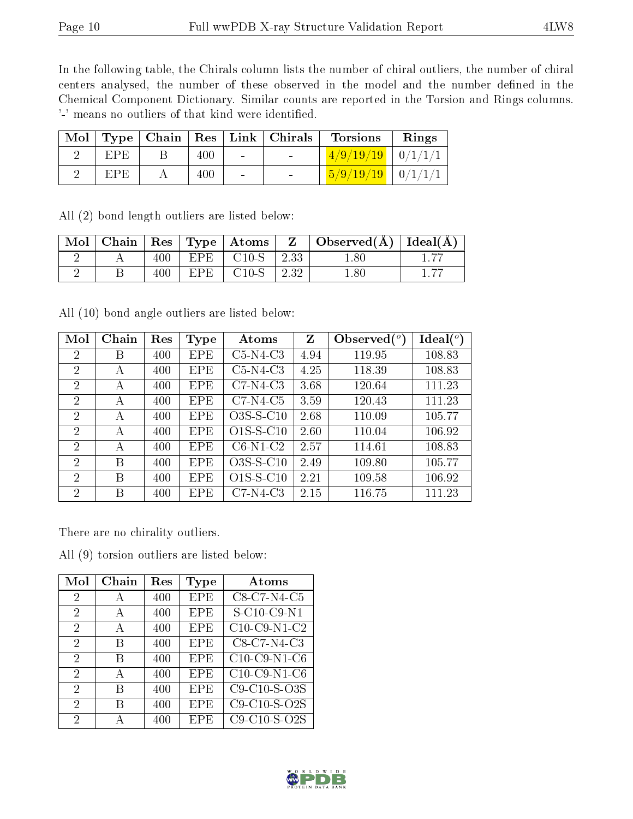In the following table, the Chirals column lists the number of chiral outliers, the number of chiral centers analysed, the number of these observed in the model and the number defined in the Chemical Component Dictionary. Similar counts are reported in the Torsion and Rings columns. '-' means no outliers of that kind were identified.

|     |     |        | Mol   Type   Chain   Res   Link   Chirals | <b>Torsions</b>                                                                                   | Rings |
|-----|-----|--------|-------------------------------------------|---------------------------------------------------------------------------------------------------|-------|
| EPE | 400 | $\sim$ |                                           | $\left[ \frac{4}{9} \right/ \frac{19}{19} \left[ \frac{0}{11} \right] \left[ \frac{1}{1} \right]$ |       |
| EPE | 400 | $\sim$ |                                           | $\left[\frac{5}{9}/\frac{19}{19}\right] \left[\frac{0}{11}\right]$                                |       |

All (2) bond length outliers are listed below:

| Mol |     |       | $\vert$ Chain $\vert$ Res $\vert$ Type $\vert$ Atoms $\vert$ | $\mathbf{Z}$ | $\vert$ Observed( $\overline{A}$ ) $\vert$ Ideal( $\overline{A}$ ) $\vert$ |  |
|-----|-----|-------|--------------------------------------------------------------|--------------|----------------------------------------------------------------------------|--|
|     | 400 | EPE 1 | $^{\circ}$ C10-S                                             | 2.33         | 1.80                                                                       |  |
|     | 400 | EPE.  | $C10-S$ 2.32                                                 |              | 1.80                                                                       |  |

All (10) bond angle outliers are listed below:

| Mol                         | Chain | Res | Type       | Atoms       | $Z_{\parallel}$ | Observed $(°)$ | Ideal $(^\circ)$ |
|-----------------------------|-------|-----|------------|-------------|-----------------|----------------|------------------|
| $\overline{2}$              | В     | 400 | <b>EPE</b> | $C5-N4-C3$  | 4.94            | 119.95         | 108.83           |
| $\overline{2}$              | А     | 400 | <b>EPE</b> | $C5-N4-C3$  | 4.25            | 118.39         | 108.83           |
| 2                           | А     | 400 | <b>EPE</b> | $C7-N4-C3$  | 3.68            | 120.64         | 111.23           |
| $\overline{2}$              | А     | 400 | <b>EPE</b> | $C7-N4-C5$  | 3.59            | 120.43         | 111.23           |
| $\overline{2}$              | А     | 400 | <b>EPE</b> | $O3S-S-C10$ | 2.68            | 110.09         | 105.77           |
| $\overline{2}$              | А     | 400 | <b>EPE</b> | $O1S-S-C10$ | 2.60            | 110.04         | 106.92           |
| $\mathcal{D}_{\mathcal{L}}$ | А     | 400 | <b>EPE</b> | $C6-N1-C2$  | 2.57            | 114.61         | 108.83           |
| $\overline{2}$              | B     | 400 | <b>EPE</b> | $O3S-S-C10$ | 2.49            | 109.80         | 105.77           |
| $\overline{2}$              | В     | 400 | <b>EPE</b> | $O1S-S-C10$ | 2.21            | 109.58         | 106.92           |
| $\mathcal{D}$               | В     | 400 | EPE        | $C7-N4-C3$  | 2.15            | 116.75         | 111.23           |

There are no chirality outliers.

All (9) torsion outliers are listed below:

| Mol            | Chain | Res | Type       | Atoms                    |
|----------------|-------|-----|------------|--------------------------|
| $\overline{2}$ | A     | 400 | <b>EPE</b> | C8-C7-N4-C5              |
| 2              | A     | 400 | <b>EPE</b> | S-C10-C9-N1              |
| $\overline{2}$ | А     | 400 | <b>EPE</b> | $C10$ -C9-N1-C2          |
| 2              | B     | 400 | EPE        | $C8-C7-\overline{N4-C3}$ |
| $\overline{2}$ | В     | 400 | <b>EPE</b> | $C10$ -C9-N1-C6          |
| 2              | А     | 400 | <b>EPE</b> | $C10-C9-N1-C6$           |
| 2              | B     | 400 | EPE        | C9-C10-S-O3S             |
| 2              | В     | 400 | <b>EPE</b> | $C9-C10-S-O2S$           |
| 2              | А     | 400 | <b>EPE</b> | C9-C10-S-O2S             |

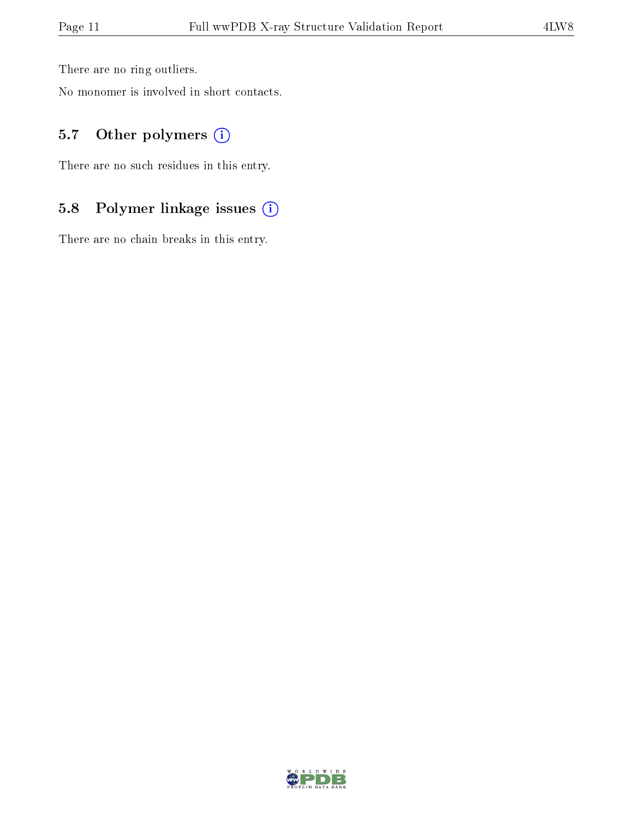There are no ring outliers.

No monomer is involved in short contacts.

### 5.7 [O](https://www.wwpdb.org/validation/2017/XrayValidationReportHelp#nonstandard_residues_and_ligands)ther polymers (i)

There are no such residues in this entry.

## 5.8 Polymer linkage issues (i)

There are no chain breaks in this entry.

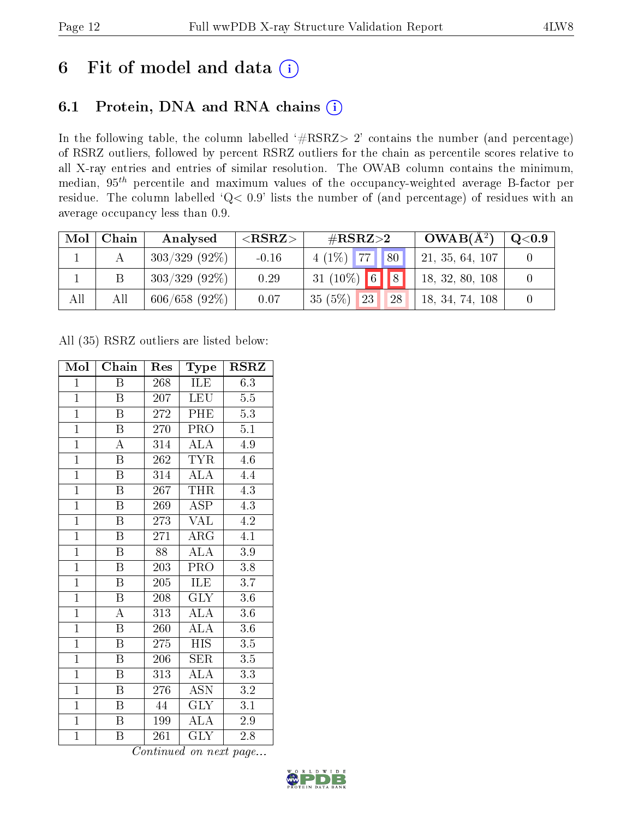## 6 Fit of model and data  $(i)$

## 6.1 Protein, DNA and RNA chains  $(i)$

In the following table, the column labelled  $#RSRZ> 2'$  contains the number (and percentage) of RSRZ outliers, followed by percent RSRZ outliers for the chain as percentile scores relative to all X-ray entries and entries of similar resolution. The OWAB column contains the minimum, median,  $95<sup>th</sup>$  percentile and maximum values of the occupancy-weighted average B-factor per residue. The column labelled ' $Q< 0.9$ ' lists the number of (and percentage) of residues with an average occupancy less than 0.9.

| Mol | Chain | Analysed         | ${ <\hspace{-1.5pt}{\mathrm{RSRZ}} \hspace{-1.5pt}>}$ | $\#\text{RSRZ}\text{>2}$ | $OWAB(A^2)$     | $\mathrm{Q}{<}0.9$ |
|-----|-------|------------------|-------------------------------------------------------|--------------------------|-----------------|--------------------|
|     |       | $303/329$ (92\%) | $-0.16$                                               | $4(1\%)$ 77   80         | 21, 35, 64, 107 |                    |
|     |       | $303/329$ (92\%) | 0.29                                                  | $31(10\%)$ 6 8           | 18, 32, 80, 108 |                    |
| All | All   | 606/658(92%)     | 0.07                                                  | 35(5%)<br>23<br>28       | 18, 34, 74, 108 |                    |

All (35) RSRZ outliers are listed below:

| Mol            | Chain                   | Res             | Type                    | <b>RSRZ</b>      |
|----------------|-------------------------|-----------------|-------------------------|------------------|
| $\mathbf{1}$   | Β                       | 268             | ILE                     | 6.3              |
| $\mathbf{1}$   | B                       | 207             | <b>LEU</b>              | $5.5\,$          |
| $\overline{1}$ | $\overline{\mathbf{B}}$ | 272             | PHE                     | 5.3              |
| $\overline{1}$ | $\boldsymbol{B}$        | 270             | PRO                     | $5.1\,$          |
| $\overline{1}$ | $\overline{\rm A}$      | 314             | <b>ALA</b>              | 4.9              |
| $\overline{1}$ | $\boldsymbol{B}$        | 262             | <b>TYR</b>              | 4.6              |
| $\overline{1}$ | $\boldsymbol{B}$        | 314             | <b>ALA</b>              | 4.4              |
| $\overline{1}$ | $\boldsymbol{B}$        | 267             | <b>THR</b>              | $\overline{4.3}$ |
| $\overline{1}$ | B                       | 269             | ASP                     | 4.3              |
| $\overline{1}$ | $\boldsymbol{B}$        | 273             | <b>VAL</b>              | 4.2              |
| $\mathbf{1}$   | B                       | 271             | ARG                     | 4.1              |
| $\overline{1}$ | $\overline{\mathrm{B}}$ | $\overline{88}$ | $\overline{\rm ALA}$    | $\overline{3.9}$ |
| $\overline{1}$ | $\overline{B}$          | 203             | PRO                     | 3.8              |
| $\overline{1}$ | $\boldsymbol{B}$        | 205             | ILE                     | 3.7              |
| $\overline{1}$ | $\overline{\mathrm{B}}$ | 208             | $\overline{\text{GLY}}$ | $3.6\,$          |
| $\overline{1}$ | $\overline{\rm A}$      | 313             | $\overline{\rm ALA}$    | 3.6              |
| $\overline{1}$ | $\overline{\mathrm{B}}$ | 260             | $\overline{\rm ALA}$    | $3.6\,$          |
| $\mathbf{1}$   | $\boldsymbol{B}$        | 275             | <b>HIS</b>              | 3.5              |
| $\overline{1}$ | $\boldsymbol{B}$        | 206             | <b>SER</b>              | $\overline{3.5}$ |
| $\overline{1}$ | B                       | 313             | ALA                     | $\overline{3.3}$ |
| $\overline{1}$ | $\overline{B}$          | 276             | <b>ASN</b>              | 3.2              |
| $\overline{1}$ | $\boldsymbol{B}$        | 44              | $\rm GL\bar{Y}$         | 3.1              |
| $\mathbf{1}$   | $\boldsymbol{B}$        | 199             | ALA                     | 2.9              |
| $\mathbf{1}$   | B                       | 261             | <b>GLY</b>              | 2.8              |

Continued on next page...